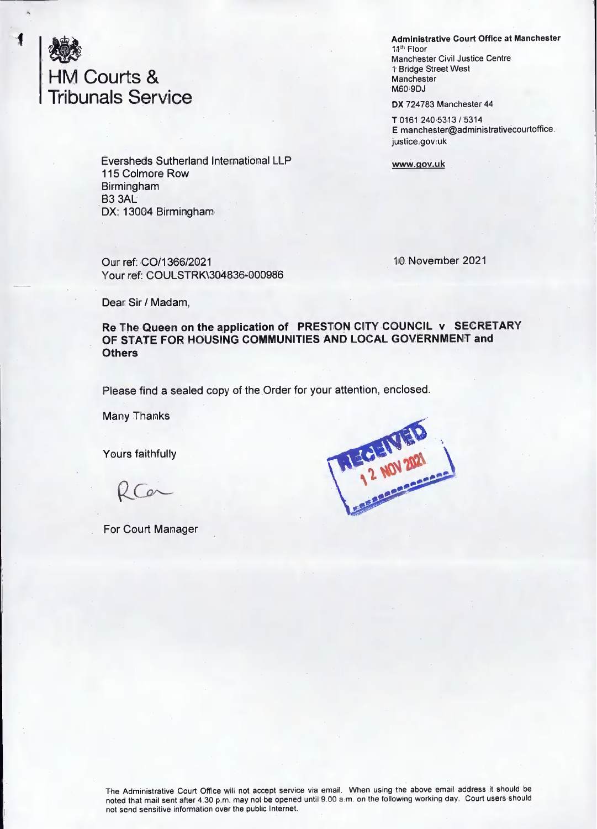

Eversheds Sutherland International LLP 115 Colmore Row Birmingham B3 3AL DX; 13004 Birmingham

Our ref; 00/1366/2021 Your ref; COULSTRK\304836-000986 **Administrative Court Office at Manchester** 11<sup>th</sup> Floor Manchester Civil Justice Centre <sup>1</sup> Bridge Street West Manchester M60 9DJ

DX 724783 Manchester 44

T0161 240 5313/5314 E manchester@administrativecourtoffice. justice.gov.uk

**www.qov.uk**

10 November 2021

Dear Sir / Madam,

**Re The Queen on the application of PRESTON CITY COUNCIL v SECRETARY OF STATE FOR HOUSING COMMUNITIES AND LOCAL GOVERNMENT and Others**

Please find a sealed copy of the Order for your attention, enclosed.

Many Thanks

Yours faithfully

. For Court Manager



The Administrative Court Office will not accept service via email. When using the above email address it should be noted that mail sent after 4.30 p.m. may not be opened until 9.00 a m. on the following working day. Court users should not send sensitive information over the public Internet.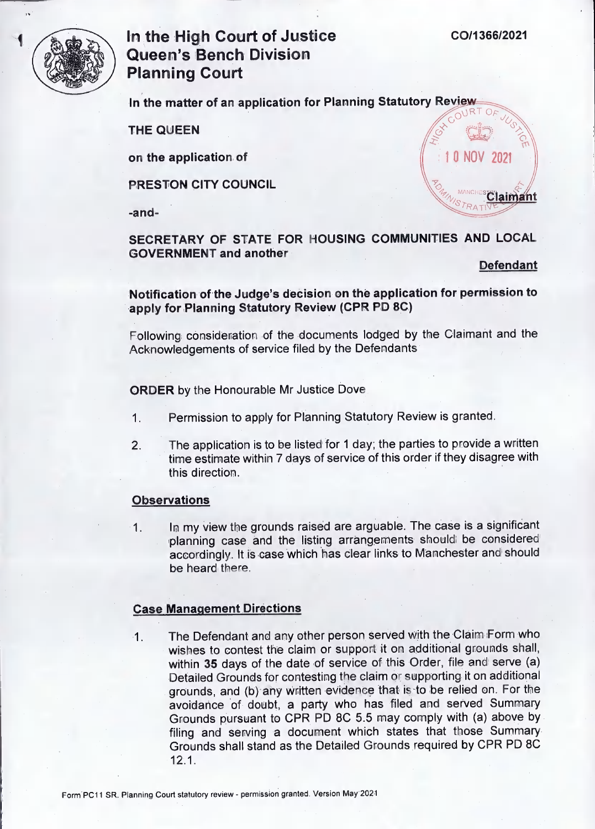manches

**<sup>1</sup> 0 NOV 2021**

-Z?



# **In the High Court of Justice Queen's Bench Division Planning Court**

In the matter of an application for Planning Statutory Review

**THE QUEEN >>**

**on the application of**

**PRESTON CITY COUNCIL**

**-and-**

**SECRETARY OF STATE FOR HOUSING COMMUNITIES AND LOCAL GOVERNMENT and another**

**Defendant**

**/**

**A. Claimant 'Xs'> —**

**Notification of the Judge's decision on the application for permission to apply for Planning Statutory Review (CPR PD 8C)**

Following consideration of the documents lodged by the Claimant and the Acknowledgements of service filed by the Defendants

ORDER by the Honourable Mr Justice Dove

- **1.** Permission to apply for Planning Statutory Review is granted.
- **2.** The application is to be listed for <sup>1</sup> day; the parties to provide a written time estimate within 7 days of service of this order if they disagree with this direction.

## **Observations**

**1.** In my view the grounds raised are arguable. The case is a significant planning case and the listing arrangements should be considered accordingly. It is case which has clear links to Manchester and should be heard there.

## **Case Management Directions**

**1.** The Defendant and any other person served with the Claim Form who wishes to contest the claim or support it on additional grounds shall, within 35 days of the date of service of this Order, file and serve (a) Detailed Grounds for contesting the claim or supporting it on additional grounds, and (b) any written evidence that is to be relied on. For the avoidance of doubt, a party who has filed and served Summary Grounds pursuant to CPR PD 8C 5.5 may comply with (a) above by filing and serving a document which states that those Summary Grounds shall stand as the Detailed Grounds required by CPR PD 8C 12.1.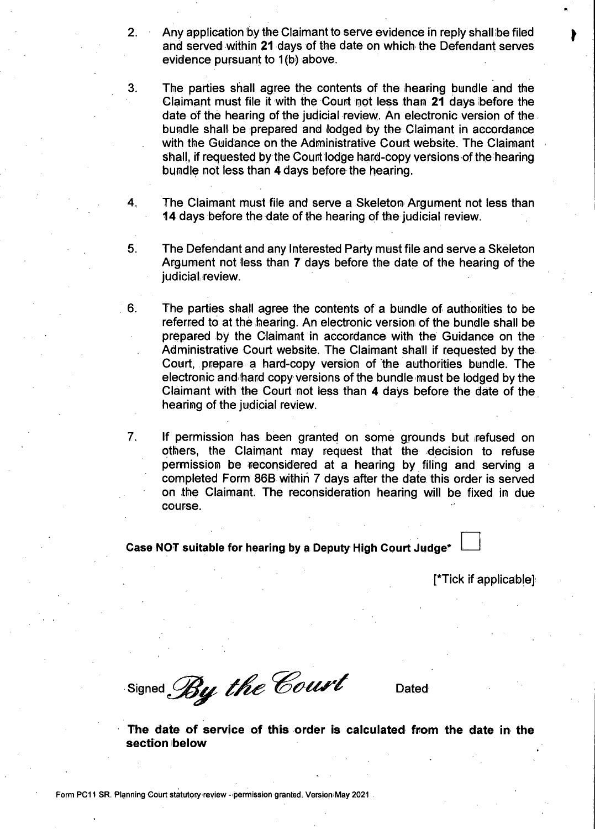2. Any application by the Claimant to serve evidence in reply shall be filed  $\bullet$ and served within 21 days of the date on which the Defendant serves evidence pursuant to 1(b) above.

3.

The parties shall agree the contents of the hearing bundle and the Claimant must file it with the Court not less than 21 days before the date of the hearing of the judicial review. An electronic version of the bundle shall be prepared and lodged by the Claimant in accordance with the Guidance on the Administrative Court website. The Claimant shall, if requested by the Court lodge hard-copy versions of the hearing bundle not less than 4 days before the hearing.

- 4. The Claimant must file and serve a Skeleton Argument not less than 14 days before the date of the hearing of the judicial review.
- 5. The Defendant and any Interested Party must file and serve a Skeleton Argument not less than 7 days before the date of the hearing of the judicial review.
- 6. The parties shall agree the contents of a bundle of authorities to be referred to at the hearing. An electronic version of the bundle shall be prepared by the Claimant in accordance with the Guidance on the Administrative Court website. The Claimant shall if requested by the Court, prepare a hard-copy version of the authorities bundle. The electronic and hard copy versions of the bundle must be lodged by the Claimant with the Court not less than 4 days before the date of the hearing of the judicial review.
- 7. r.' If permission has been granted on some grounds but refused on others, the Claimant may request that the decision to refuse permission be reconsidered at a hearing by filing and serving a completed Form 86B within 7 days after the date this order is served on the Claimant. The reconsideration hearing will be fixed in due course.

#### **Case NOT suitable for hearing by a Deputy High Court Judge\***

[\*Tick if applicable]

Signed By the Court Dated

**The date of service of this order is calculated from the date in the section below**